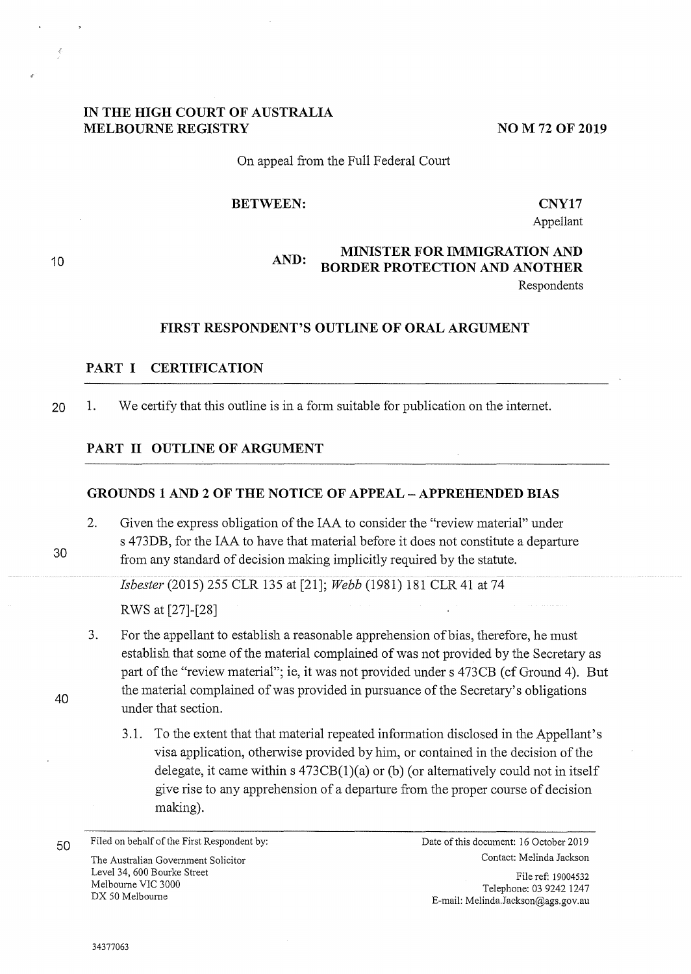## **IN THE HIGH COURT OF AUSTRALIA MELBOURNE REGISTRY**

**NO M 72 OF 2019** 

### On appeal from the Full Federal Court

#### **BETWEEN:**

**CNY17** 

Appellant

Respondents

## **AND: MINISTER FOR IMMIGRATION AND BORDER PROTECTION AND ANOTHER**

### **FIRST RESPONDENT'S OUTLINE OF ORAL ARGUMENT**

#### **PART I CERTIFICATION**

20 1. We certify that this outline is in a form suitable for publication on the internet.

#### **PART II OUTLINE OF ARGUMENT**

### **GROUNDS 1 AND 2 OF THE NOTICE OF APPEAL - APPREHENDED BIAS**

2. Given the express obligation of the IAA to consider the "review material" under s 473DB, for the IAA to have that material before it does not constitute a departure from any standard of decision making implicitly required by the statute.

*Isbester* (2015) 255 CLR 135 at [21]; *Webb* (1981) 181 CLR 41 at 74 RWS at [27]-[28]

- 3. For the appellant to establish a reasonable apprehension of bias, therefore, he must establish that some of the material complained of was not provided by the Secretary as part of the "review material"; ie, it was not provided under s 473CB (cf Ground 4). But the material complained of was provided in pursuance of the Secretary's obligations under that section.
	- 3.1. To the extent that that material repeated information disclosed in the Appellant's visa application, otherwise provided by him, or contained in the decision of the delegate, it came within  $s$  473CB(1)(a) or (b) (or alternatively could not in itself give rise to any apprehension of a departure from the proper course of decision making).

**50** Filed on behalf of the First Respondent by: Date of this document: 16 October 2019 The Australian Government Solicitor and Solicitor Contact: Melinda Jackson Level 34, 600 Bourke Street Melbourne VIC 3000 DX 50 Melbourne

File ref: 19004532 Telephone: 03 9242 1247 E-mail: Melinda.Jackson@ags.gov.au

30

40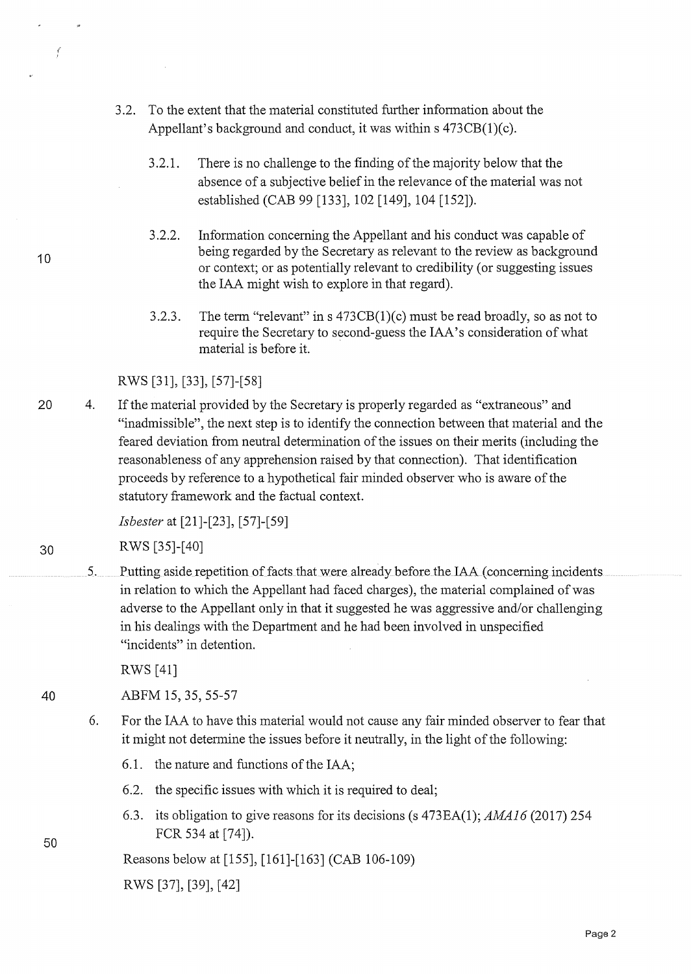- 3.2. To the extent that the material constituted further information about the Appellant's background and conduct, it was within s 473CB(1)(c).
	- 3 .2.1. There is no challenge to the finding of the majority below that the absence of a subjective belief in the relevance of the material was not established (CAB 99 [133], 102 [149], 104 [152]).
	- 3.2.2. Information concerning the Appellant and his conduct was capable of being regarded by the Secretary as relevant to the review as background or context; or as potentially relevant to credibility ( or suggesting issues the IAA might wish to explore in that regard).
	- 3.2.3. The term "relevant" in s  $473CB(1)(c)$  must be read broadly, so as not to require the Secretary to second-guess the IAA's consideration of what material is before it.

RWS [31], [33], [57]-[58]

20 4. If the material provided by the Secretary is properly regarded as "extraneous" and "inadmissible", the next step is to identify the connection between that material and the feared deviation from neutral determination of the issues on their merits (including the reasonableness of any apprehension raised by that connection). That identification proceeds by reference to a hypothetical fair minded observer who is aware of the statutory framework and the factual context.

*Isbester* at [21]-[23], [57]-[59]

30 RWS [35]-[ 40]

5. Putting aside repetition of facts that were already before the IAA ( concerning incidents in relation to which the Appellant had faced charges), the material complained of was adverse to the Appellant only in that it suggested he was aggressive and/or challenging in his dealings with the Department and he had been involved in unspecified "incidents" in detention.

RWS [41]

40 ABFM 15, 35, 55-57

- 6. For the IAA to have this material would not cause any fair minded observer to fear that it might not determine the issues before it neutrally, in the light of the following:
	- 6.1. the nature and functions of the IAA;
	- 6.2. the specific issues with which it is required to deal;
	- 6.3. its obligation to give reasons for its decisions (s 473EA(1); AMA16 (2017) 254 FCR 534 at [74]).

Reasons below at [155], [161]-[163] (CAB 106-109)

RWS [37], [39], [42]

10

 $\dot{f}$ 

50